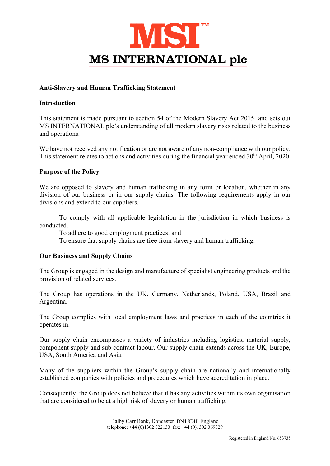

# Anti-Slavery and Human Trafficking Statement

## Introduction

This statement is made pursuant to section 54 of the Modern Slavery Act 2015 and sets out MS INTERNATIONAL plc's understanding of all modern slavery risks related to the business and operations.

We have not received any notification or are not aware of any non-compliance with our policy. This statement relates to actions and activities during the financial year ended 30<sup>th</sup> April, 2020.

# Purpose of the Policy

We are opposed to slavery and human trafficking in any form or location, whether in any division of our business or in our supply chains. The following requirements apply in our divisions and extend to our suppliers.

 To comply with all applicable legislation in the jurisdiction in which business is conducted.

To adhere to good employment practices: and

To ensure that supply chains are free from slavery and human trafficking.

### Our Business and Supply Chains

The Group is engaged in the design and manufacture of specialist engineering products and the provision of related services.

The Group has operations in the UK, Germany, Netherlands, Poland, USA, Brazil and Argentina.

The Group complies with local employment laws and practices in each of the countries it operates in.

Our supply chain encompasses a variety of industries including logistics, material supply, component supply and sub contract labour. Our supply chain extends across the UK, Europe, USA, South America and Asia.

Many of the suppliers within the Group's supply chain are nationally and internationally established companies with policies and procedures which have accreditation in place.

Consequently, the Group does not believe that it has any activities within its own organisation that are considered to be at a high risk of slavery or human trafficking.

> Balby Carr Bank, Doncaster DN4 8DH, England telephone: +44 (0)1302 322133 fax: +44 (0)1302 369329